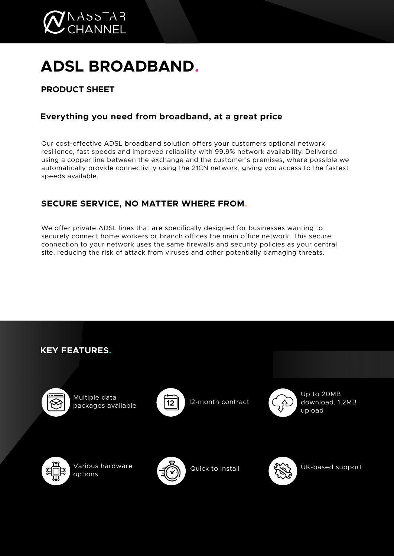

# **ADSL BROADBAND.**

# **PRODUCT SHEET**

## **Everything you need from broadband, at a great price**

Our cost-effective ADSL broadband solution offers your customers optional network resilience, fast speeds and improved reliability with 99.9% network availability. Delivered using a copper line between the exchange and the customer's premises, where possible we automatically provide connectivity using the 21CN network, giving you access to the fastest speeds available.

## **SECURE SERVICE, NO MATTER WHERE FROM.**

We offer private ADSL lines that are specifically designed for businesses wanting to securely connect home workers or branch offices the main office network. This secure connection to your network uses the same firewalls and security policies as your central site, reducing the risk of attack from viruses and other potentially damaging threats.

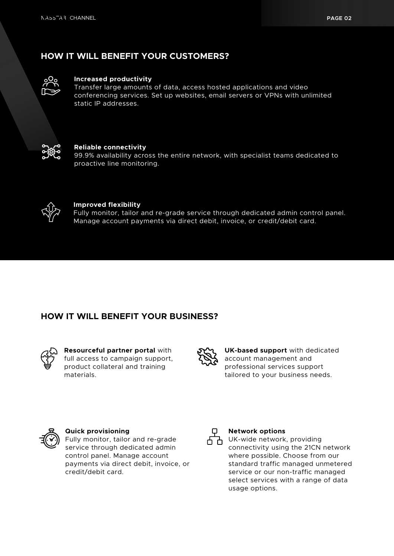## **HOW IT WILL BENEFIT YOUR CUSTOMERS?**



#### **Increased productivity**

Transfer large amounts of data, access hosted applications and video conferencing services. Set up websites, email servers or VPNs with unlimited static IP addresses.



#### **Reliable connectivity**

99.9% availability across the entire network, with specialist teams dedicated to proactive line monitoring.



#### **Improved flexibility**

Fully monitor, tailor and re-grade service through dedicated admin control panel. Manage account payments via direct debit, invoice, or credit/debit card.

## **HOW IT WILL BENEFIT YOUR BUSINESS?**



**Resourceful partner portal** with full access to campaign support, product collateral and training materials.



**UK-based support** with dedicated account management and professional services support tailored to your business needs.



#### **Quick provisioning**

Fully monitor, tailor and re-grade service through dedicated admin control panel. Manage account payments via direct debit, invoice, or credit/debit card.



#### **Network options**

UK-wide network, providing connectivity using the 21CN network where possible. Choose from our standard traffic managed unmetered service or our non-traffic managed select services with a range of data usage options.